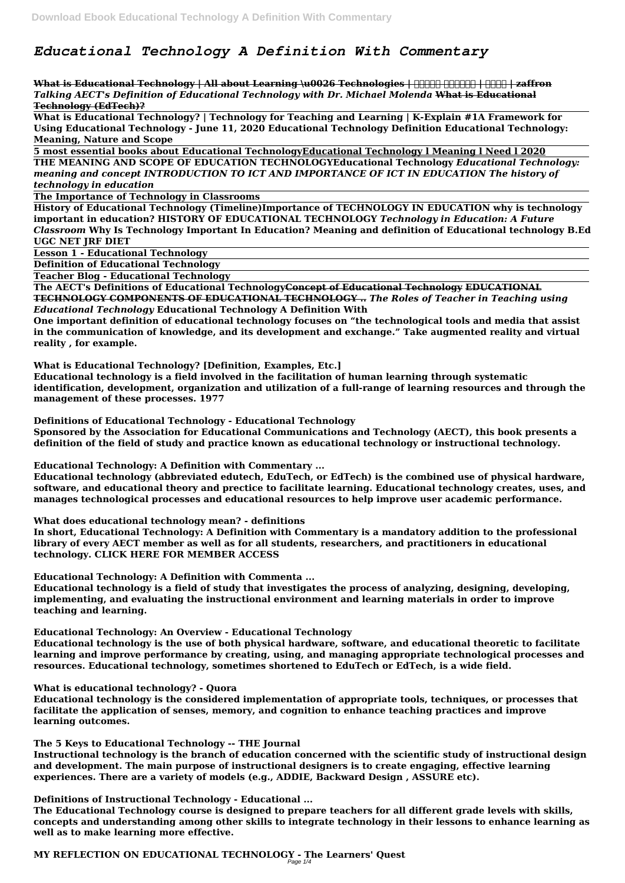# *Educational Technology A Definition With Commentary*

What is Educational Technology | All about Learning \u0026 Technologies | **ANALIA | ANALIA | Zaffron** *Talking AECT's Definition of Educational Technology with Dr. Michael Molenda* **What is Educational Technology (EdTech)?**

**What is Educational Technology? | Technology for Teaching and Learning | K-Explain #1A Framework for Using Educational Technology - June 11, 2020 Educational Technology Definition Educational Technology: Meaning, Nature and Scope** 

**5 most essential books about Educational TechnologyEducational Technology l Meaning l Need l 2020 THE MEANING AND SCOPE OF EDUCATION TECHNOLOGYEducational Technology** *Educational Technology: meaning and concept INTRODUCTION TO ICT AND IMPORTANCE OF ICT IN EDUCATION The history of technology in education*

**The Importance of Technology in Classrooms**

**History of Educational Technology (Timeline)Importance of TECHNOLOGY IN EDUCATION why is technology important in education? HISTORY OF EDUCATIONAL TECHNOLOGY** *Technology in Education: A Future Classroom* **Why Is Technology Important In Education? Meaning and definition of Educational technology B.Ed UGC NET JRF DIET** 

**Lesson 1 - Educational Technology**

**Definition of Educational Technology**

**Teacher Blog - Educational Technology**

**The AECT's Definitions of Educational TechnologyConcept of Educational Technology EDUCATIONAL TECHNOLOGY COMPONENTS OF EDUCATIONAL TECHNOLOGY ..** *The Roles of Teacher in Teaching using Educational Technology* **Educational Technology A Definition With**

**One important definition of educational technology focuses on "the technological tools and media that assist in the communication of knowledge, and its development and exchange." Take augmented reality and virtual reality , for example.**

**What is Educational Technology? [Definition, Examples, Etc.]**

**Educational technology is a field involved in the facilitation of human learning through systematic identification, development, organization and utilization of a full-range of learning resources and through the management of these processes. 1977**

**Definitions of Educational Technology - Educational Technology**

**Sponsored by the Association for Educational Communications and Technology (AECT), this book presents a definition of the field of study and practice known as educational technology or instructional technology.**

**Educational Technology: A Definition with Commentary ...**

**Educational technology (abbreviated edutech, EduTech, or EdTech) is the combined use of physical hardware, software, and educational theory and prectice to facilitate learning. Educational technology creates, uses, and manages technological processes and educational resources to help improve user academic performance.**

**What does educational technology mean? - definitions**

**In short, Educational Technology: A Definition with Commentary is a mandatory addition to the professional library of every AECT member as well as for all students, researchers, and practitioners in educational technology. CLICK HERE FOR MEMBER ACCESS**

**Educational Technology: A Definition with Commenta ...**

**Educational technology is a field of study that investigates the process of analyzing, designing, developing, implementing, and evaluating the instructional environment and learning materials in order to improve teaching and learning.**

**Educational Technology: An Overview - Educational Technology**

**Educational technology is the use of both physical hardware, software, and educational theoretic to facilitate learning and improve performance by creating, using, and managing appropriate technological processes and resources. Educational technology, sometimes shortened to EduTech or EdTech, is a wide field.**

#### **What is educational technology? - Quora**

**Educational technology is the considered implementation of appropriate tools, techniques, or processes that facilitate the application of senses, memory, and cognition to enhance teaching practices and improve learning outcomes.**

#### **The 5 Keys to Educational Technology -- THE Journal**

**Instructional technology is the branch of education concerned with the scientific study of instructional design and development. The main purpose of instructional designers is to create engaging, effective learning experiences. There are a variety of models (e.g., ADDIE, Backward Design , ASSURE etc).**

#### **Definitions of Instructional Technology - Educational ...**

**The Educational Technology course is designed to prepare teachers for all different grade levels with skills, concepts and understanding among other skills to integrate technology in their lessons to enhance learning as well as to make learning more effective.**

#### **MY REFLECTION ON EDUCATIONAL TECHNOLOGY - The Learners' Quest** Page 1/4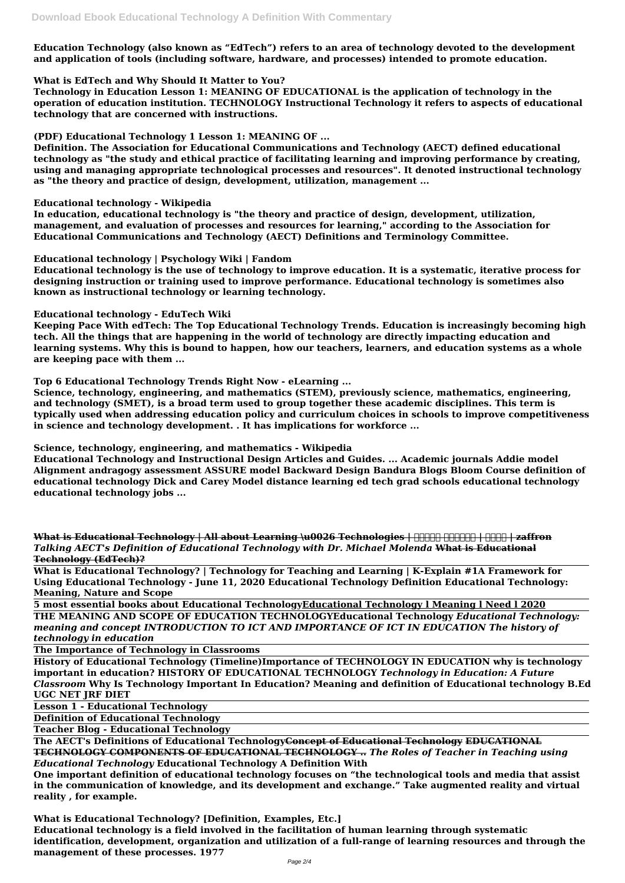**Education Technology (also known as "EdTech") refers to an area of technology devoted to the development and application of tools (including software, hardware, and processes) intended to promote education.**

# **What is EdTech and Why Should It Matter to You?**

**Technology in Education Lesson 1: MEANING OF EDUCATIONAL is the application of technology in the operation of education institution. TECHNOLOGY Instructional Technology it refers to aspects of educational technology that are concerned with instructions.**

### **(PDF) Educational Technology 1 Lesson 1: MEANING OF ...**

**Definition. The Association for Educational Communications and Technology (AECT) defined educational technology as "the study and ethical practice of facilitating learning and improving performance by creating, using and managing appropriate technological processes and resources". It denoted instructional technology as "the theory and practice of design, development, utilization, management ...**

#### **Educational technology - Wikipedia**

**In education, educational technology is "the theory and practice of design, development, utilization, management, and evaluation of processes and resources for learning," according to the Association for Educational Communications and Technology (AECT) Definitions and Terminology Committee.**

#### **Educational technology | Psychology Wiki | Fandom**

**Educational technology is the use of technology to improve education. It is a systematic, iterative process for designing instruction or training used to improve performance. Educational technology is sometimes also known as instructional technology or learning technology.**

What is Educational Technology | All about Learning \u0026 Technologies | **HHHH HHHH | HHH | zaffron** *Talking AECT's Definition of Educational Technology with Dr. Michael Molenda* **What is Educational Technology (EdTech)?**

#### **Educational technology - EduTech Wiki**

**Keeping Pace With edTech: The Top Educational Technology Trends. Education is increasingly becoming high tech. All the things that are happening in the world of technology are directly impacting education and learning systems. Why this is bound to happen, how our teachers, learners, and education systems as a whole are keeping pace with them ...**

#### **Top 6 Educational Technology Trends Right Now - eLearning ...**

**Science, technology, engineering, and mathematics (STEM), previously science, mathematics, engineering, and technology (SMET), is a broad term used to group together these academic disciplines. This term is typically used when addressing education policy and curriculum choices in schools to improve competitiveness in science and technology development. . It has implications for workforce ...**

# **Science, technology, engineering, and mathematics - Wikipedia**

**Educational Technology and Instructional Design Articles and Guides. ... Academic journals Addie model Alignment andragogy assessment ASSURE model Backward Design Bandura Blogs Bloom Course definition of educational technology Dick and Carey Model distance learning ed tech grad schools educational technology educational technology jobs ...**

**What is Educational Technology? | Technology for Teaching and Learning | K-Explain #1A Framework for Using Educational Technology - June 11, 2020 Educational Technology Definition Educational Technology: Meaning, Nature and Scope** 

**5 most essential books about Educational TechnologyEducational Technology l Meaning l Need l 2020 THE MEANING AND SCOPE OF EDUCATION TECHNOLOGYEducational Technology** *Educational Technology: meaning and concept INTRODUCTION TO ICT AND IMPORTANCE OF ICT IN EDUCATION The history of technology in education*

**The Importance of Technology in Classrooms**

**History of Educational Technology (Timeline)Importance of TECHNOLOGY IN EDUCATION why is technology important in education? HISTORY OF EDUCATIONAL TECHNOLOGY** *Technology in Education: A Future Classroom* **Why Is Technology Important In Education? Meaning and definition of Educational technology B.Ed UGC NET JRF DIET** 

**Lesson 1 - Educational Technology**

**Definition of Educational Technology**

**Teacher Blog - Educational Technology**

**The AECT's Definitions of Educational TechnologyConcept of Educational Technology EDUCATIONAL TECHNOLOGY COMPONENTS OF EDUCATIONAL TECHNOLOGY ..** *The Roles of Teacher in Teaching using Educational Technology* **Educational Technology A Definition With**

**One important definition of educational technology focuses on "the technological tools and media that assist in the communication of knowledge, and its development and exchange." Take augmented reality and virtual reality , for example.**

**What is Educational Technology? [Definition, Examples, Etc.] Educational technology is a field involved in the facilitation of human learning through systematic identification, development, organization and utilization of a full-range of learning resources and through the management of these processes. 1977**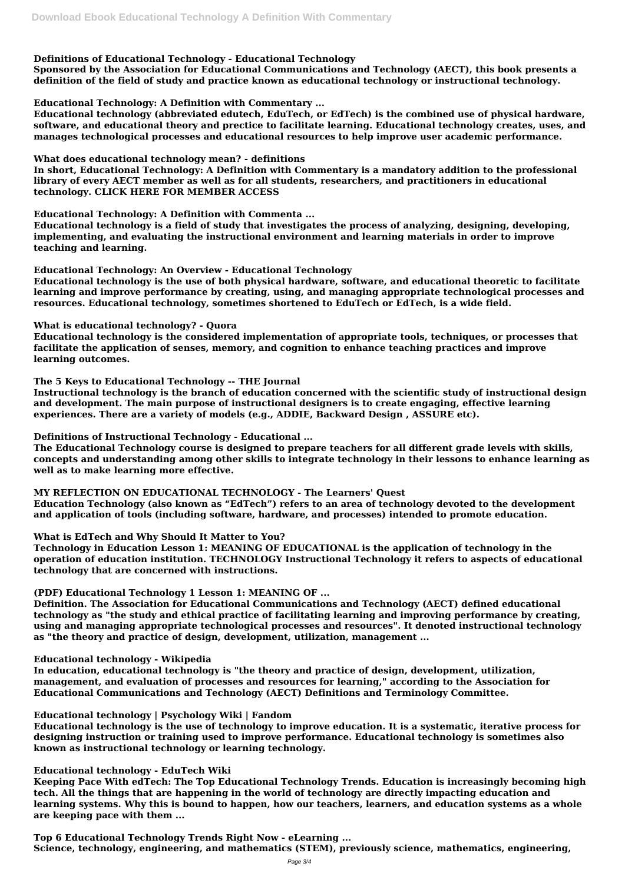# **Definitions of Educational Technology - Educational Technology**

**Sponsored by the Association for Educational Communications and Technology (AECT), this book presents a definition of the field of study and practice known as educational technology or instructional technology.**

**Educational Technology: A Definition with Commentary ...**

**Educational technology (abbreviated edutech, EduTech, or EdTech) is the combined use of physical hardware, software, and educational theory and prectice to facilitate learning. Educational technology creates, uses, and manages technological processes and educational resources to help improve user academic performance.**

**What does educational technology mean? - definitions**

**In short, Educational Technology: A Definition with Commentary is a mandatory addition to the professional library of every AECT member as well as for all students, researchers, and practitioners in educational technology. CLICK HERE FOR MEMBER ACCESS**

**Educational Technology: A Definition with Commenta ...**

**Educational technology is a field of study that investigates the process of analyzing, designing, developing, implementing, and evaluating the instructional environment and learning materials in order to improve teaching and learning.**

**Educational Technology: An Overview - Educational Technology**

**Educational technology is the use of both physical hardware, software, and educational theoretic to facilitate learning and improve performance by creating, using, and managing appropriate technological processes and resources. Educational technology, sometimes shortened to EduTech or EdTech, is a wide field.**

**What is educational technology? - Quora**

**Educational technology is the considered implementation of appropriate tools, techniques, or processes that facilitate the application of senses, memory, and cognition to enhance teaching practices and improve learning outcomes.**

**The 5 Keys to Educational Technology -- THE Journal**

**Instructional technology is the branch of education concerned with the scientific study of instructional design and development. The main purpose of instructional designers is to create engaging, effective learning experiences. There are a variety of models (e.g., ADDIE, Backward Design , ASSURE etc).**

**Definitions of Instructional Technology - Educational ...**

**The Educational Technology course is designed to prepare teachers for all different grade levels with skills, concepts and understanding among other skills to integrate technology in their lessons to enhance learning as well as to make learning more effective.**

# **MY REFLECTION ON EDUCATIONAL TECHNOLOGY - The Learners' Quest**

**Education Technology (also known as "EdTech") refers to an area of technology devoted to the development and application of tools (including software, hardware, and processes) intended to promote education.**

**What is EdTech and Why Should It Matter to You?**

**Technology in Education Lesson 1: MEANING OF EDUCATIONAL is the application of technology in the operation of education institution. TECHNOLOGY Instructional Technology it refers to aspects of educational technology that are concerned with instructions.**

**(PDF) Educational Technology 1 Lesson 1: MEANING OF ...**

**Definition. The Association for Educational Communications and Technology (AECT) defined educational technology as "the study and ethical practice of facilitating learning and improving performance by creating, using and managing appropriate technological processes and resources". It denoted instructional technology as "the theory and practice of design, development, utilization, management ...**

#### **Educational technology - Wikipedia**

**In education, educational technology is "the theory and practice of design, development, utilization, management, and evaluation of processes and resources for learning," according to the Association for Educational Communications and Technology (AECT) Definitions and Terminology Committee.**

#### **Educational technology | Psychology Wiki | Fandom**

**Educational technology is the use of technology to improve education. It is a systematic, iterative process for designing instruction or training used to improve performance. Educational technology is sometimes also known as instructional technology or learning technology.**

#### **Educational technology - EduTech Wiki**

**Keeping Pace With edTech: The Top Educational Technology Trends. Education is increasingly becoming high tech. All the things that are happening in the world of technology are directly impacting education and learning systems. Why this is bound to happen, how our teachers, learners, and education systems as a whole are keeping pace with them ...**

**Top 6 Educational Technology Trends Right Now - eLearning ... Science, technology, engineering, and mathematics (STEM), previously science, mathematics, engineering,**